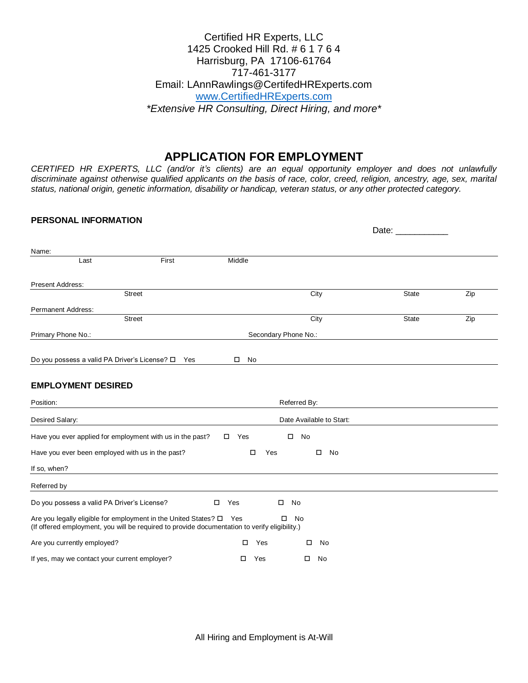### Certified HR Experts, LLC 1425 Crooked Hill Rd. # 6 1 7 6 4 Harrisburg, PA 17106-61764 717-461-3177 Email: LAnnRawlings@CertifedHRExperts.com [www.CertifiedHRExperts.com](http://www.certifiedhrexperts.com/) *\*Extensive HR Consulting, Direct Hiring, and more\**

# **APPLICATION FOR EMPLOYMENT**

*CERTIFED HR EXPERTS, LLC (and/or it's clients) are an equal opportunity employer and does not unlawfully discriminate against otherwise qualified applicants on the basis of race, color, creed, religion, ancestry, age, sex, marital status, national origin, genetic information, disability or handicap, veteran status, or any other protected category.*

#### **PERSONAL INFORMATION**

| Name:                                                                                                                                                                        |               |               |                          |              |     |
|------------------------------------------------------------------------------------------------------------------------------------------------------------------------------|---------------|---------------|--------------------------|--------------|-----|
| Last                                                                                                                                                                         | First         | Middle        |                          |              |     |
| <b>Present Address:</b>                                                                                                                                                      |               |               |                          |              |     |
|                                                                                                                                                                              | <b>Street</b> |               | City                     | <b>State</b> | Zip |
| <b>Permanent Address:</b>                                                                                                                                                    |               |               |                          |              |     |
|                                                                                                                                                                              | <b>Street</b> |               | City                     | <b>State</b> | Zip |
| Primary Phone No.:                                                                                                                                                           |               |               | Secondary Phone No.:     |              |     |
|                                                                                                                                                                              |               |               |                          |              |     |
| Do you possess a valid PA Driver's License? □ Yes                                                                                                                            |               | No            |                          |              |     |
| <b>EMPLOYMENT DESIRED</b>                                                                                                                                                    |               |               |                          |              |     |
| Position:                                                                                                                                                                    |               |               | Referred By:             |              |     |
| Desired Salary:                                                                                                                                                              |               |               | Date Available to Start: |              |     |
| Have you ever applied for employment with us in the past?                                                                                                                    |               | $\square$ Yes | No<br>$\Box$             |              |     |
| Have you ever been employed with us in the past?                                                                                                                             |               | □<br>Yes      | $\Box$<br>No             |              |     |
| If so, when?                                                                                                                                                                 |               |               |                          |              |     |
| Referred by                                                                                                                                                                  |               |               |                          |              |     |
| Do you possess a valid PA Driver's License?                                                                                                                                  |               | Yes<br>$\Box$ | No                       |              |     |
| Are you legally eligible for employment in the United States? $\square$ Yes<br>(If offered employment, you will be required to provide documentation to verify eligibility.) |               |               | No                       |              |     |
| Are you currently employed?                                                                                                                                                  |               | Yes<br>$\Box$ | No                       |              |     |
| If yes, may we contact your current employer?                                                                                                                                |               | □<br>Yes      | $\square$ No             |              |     |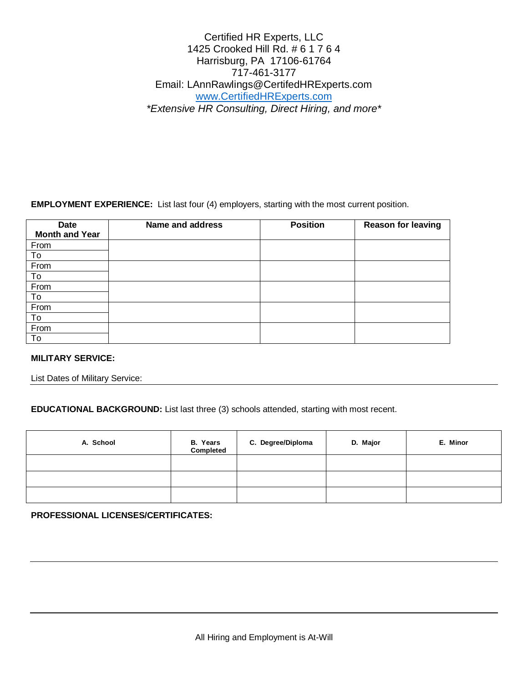## Certified HR Experts, LLC 1425 Crooked Hill Rd. # 6 1 7 6 4 Harrisburg, PA 17106-61764 717-461-3177 Email: LAnnRawlings@CertifedHRExperts.com [www.CertifiedHRExperts.com](http://www.certifiedhrexperts.com/) *\*Extensive HR Consulting, Direct Hiring, and more\**

**EMPLOYMENT EXPERIENCE:** List last four (4) employers, starting with the most current position.

| Date                  | <b>Name and address</b> | <b>Position</b> | <b>Reason for leaving</b> |
|-----------------------|-------------------------|-----------------|---------------------------|
| <b>Month and Year</b> |                         |                 |                           |
| From                  |                         |                 |                           |
| To                    |                         |                 |                           |
| From                  |                         |                 |                           |
| To                    |                         |                 |                           |
| From                  |                         |                 |                           |
| To                    |                         |                 |                           |
| From                  |                         |                 |                           |
| To                    |                         |                 |                           |
| From                  |                         |                 |                           |
| To                    |                         |                 |                           |

#### **MILITARY SERVICE:**

List Dates of Military Service:

**EDUCATIONAL BACKGROUND:** List last three (3) schools attended, starting with most recent.

| A. School | <b>B.</b> Years<br>Completed | C. Degree/Diploma | D. Major | E. Minor |
|-----------|------------------------------|-------------------|----------|----------|
|           |                              |                   |          |          |
|           |                              |                   |          |          |
|           |                              |                   |          |          |

**PROFESSIONAL LICENSES/CERTIFICATES:**